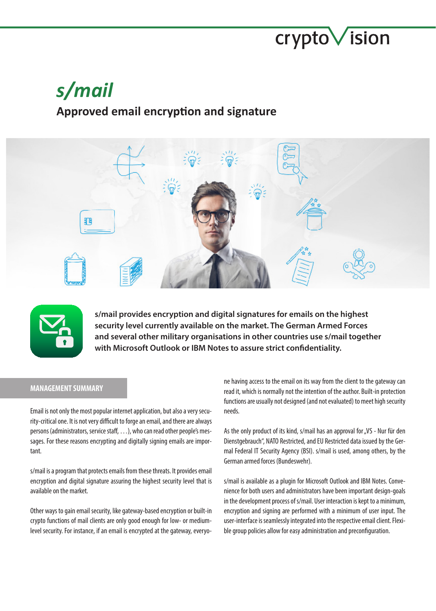# crypto *ision*

# *s/mail*

# **Approved email encryption and signature**





**s/mail provides encryption and digital signatures for emails on the highest security level currently available on the market. The German Armed Forces and several other military organisations in other countries use s/mail together with Microsoft Outlook or IBM Notes to assure strict confidentiality.**

# **MANAGEMENT SUMMARY**

Email is not only the most popular internet application, but also a very security-critical one. It is not very difficult to forge an email, and there are always persons (administrators, service staff, …), who can read other people's messages. For these reasons encrypting and digitally signing emails are important.

s/mail is a program that protects emails from these threats. It provides email encryption and digital signature assuring the highest security level that is available on the market.

Other ways to gain email security, like gateway-based encryption or built-in crypto functions of mail clients are only good enough for low- or mediumlevel security. For instance, if an email is encrypted at the gateway, everyone having access to the email on its way from the client to the gateway can read it, which is normally not the intention of the author. Built-in protection functions are usually not designed (and not evaluated) to meet high security needs.

As the only product of its kind, s/mail has an approval for "VS - Nur für den Dienstgebrauch", NATO Restricted, and EU Restricted data issued by the Germal Federal IT Security Agency (BSI). s/mail is used, among others, by the German armed forces (Bundeswehr).

s/mail is available as a plugin for Microsoft Outlook and IBM Notes. Convenience for both users and administrators have been important design-goals in the development process of s/mail. User interaction is kept to a minimum, encryption and signing are performed with a minimum of user input. The user-interface is seamlessly integrated into the respective email client. Flexible group policies allow for easy administration and preconfiguration.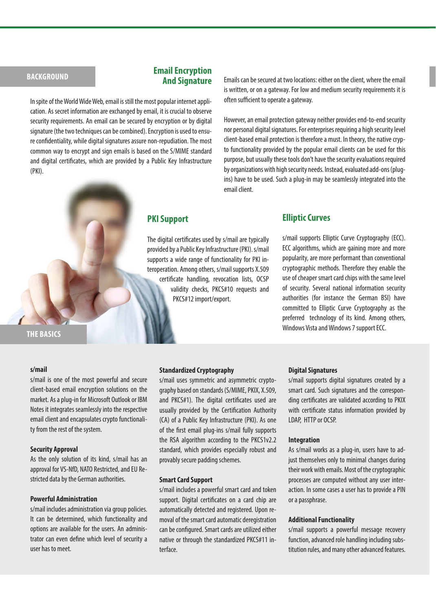# **BACKGROUND**

### **Email Encryption And Signature**

In spite of the World Wide Web, email is still the most popular internet application. As secret information are exchanged by email, it is crucial to observe security requirements. An email can be secured by encryption or by digital signature (the two techniques can be combined). Encryption is used to ensure confidentiality, while digital signatures assure non-repudiation. The most common way to encrypt and sign emails is based on the S/MIME standard and digital certificates, which are provided by a Public Key Infrastructure (PKI).

Emails can be secured at two locations: either on the client, where the email is written, or on a gateway. For low and medium security requirements it is often sufficient to operate a gateway.

However, an email protection gateway neither provides end-to-end security nor personal digital signatures. For enterprises requiring a high security level client-based email protection is therefore a must. In theory, the native crypto functionality provided by the popular email clients can be used for this purpose, but usually these tools don't have the security evaluations required by organizations with high security needs. Instead, evaluated add-ons (plugins) have to be used. Such a plug-in may be seamlessly integrated into the email client.

# **PKI Support**

The digital certificates used by s/mail are typically provided by a Public Key Infrastructure (PKI). s/mail supports a wide range of functionality for PKI interoperation. Among others, s/mail supports X.509 certificate handling, revocation lists, OCSP validity checks, PKCS#10 requests and PKCS#12 import/export.

# **Elliptic Curves**

s/mail supports Elliptic Curve Cryptography (ECC). ECC algorithms, which are gaining more and more popularity, are more performant than conventional cryptographic methods. Therefore they enable the use of cheaper smart card chips with the same level of security. Several national information security authorities (for instance the German BSI) have committed to Elliptic Curve Cryptography as the preferred technology of its kind. Among others, Windows Vista and Windows 7 support ECC.

**THE BASICS**

#### **s/mail**

s/mail is one of the most powerful and secure client-based email encryption solutions on the market. As a plug-in for Microsoft Outlook or IBM Notes it integrates seamlessly into the respective email client and encapsulates crypto functionality from the rest of the system.

#### **Security Approval**

As the only solution of its kind, s/mail has an approval for VS-NfD, NATO Restricted, and EU Restricted data by the German authorities.

#### **Powerful Administration**

s/mail includes administration via group policies. It can be determined, which functionality and options are available for the users. An administrator can even define which level of security a user has to meet.

### **Standardized Cryptography**

s/mail uses symmetric and asymmetric cryptography based on standards (S/MIME, PKIX, X.509, and PKCS#1). The digital certificates used are usually provided by the Certification Authority (CA) of a Public Key Infrastructure (PKI). As one of the first email plug-ins s/mail fully supports the RSA algorithm according to the PKCS1v2.2 standard, which provides especially robust and provably secure padding schemes.

#### **Smart Card Support**

s/mail includes a powerful smart card and token support. Digital certificates on a card chip are automatically detected and registered. Upon removal of the smart card automatic deregistration can be configured. Smart cards are utilized either native or through the standardized PKCS#11 interface.

#### **Digital Signatures**

s/mail supports digital signatures created by a smart card. Such signatures and the corresponding certificates are validated according to PKIX with certificate status information provided by LDAP, HTTP or OCSP.

#### **Integration**

As s/mail works as a plug-in, users have to adjust themselves only to minimal changes during their work with emails. Most of the cryptographic processes are computed without any user interaction. In some cases a user has to provide a PIN or a passphrase.

#### **Additional Functionality**

s/mail supports a powerful message recovery function, advanced role handling including substitution rules, and many other advanced features.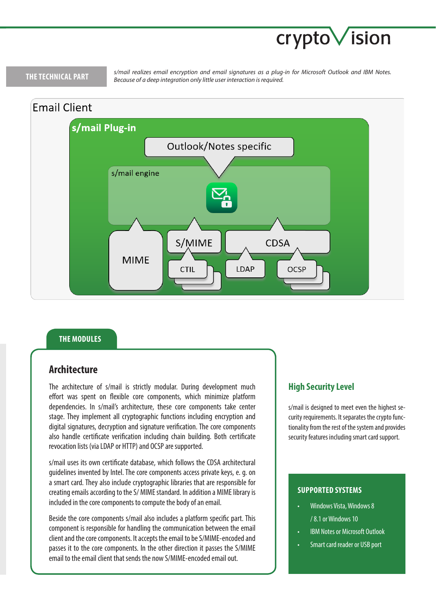# crypto Vision

# **THE TECHNICAL PART**

*s/mail realizes email encryption and email signatures as a plug-in for Microsoft Outlook and IBM Notes. Because of a deep integration only little user interaction is required.*



# **THE MODULES**

# **Architecture**

The architecture of s/mail is strictly modular. During development much effort was spent on flexible core components, which minimize platform dependencies. In s/mail's architecture, these core components take center stage. They implement all cryptographic functions including encryption and digital signatures, decryption and signature verification. The core components also handle certificate verification including chain building. Both certificate revocation lists (via LDAP or HTTP) and OCSP are supported.

s/mail uses its own certificate database, which follows the CDSA architectural guidelines invented by Intel. The core components access private keys, e. g. on a smart card. They also include cryptographic libraries that are responsible for creating emails according to the S/ MIME standard. In addition a MIME library is included in the core components to compute the body of an email.

Beside the core components s/mail also includes a platform specific part. This component is responsible for handling the communication between the email client and the core components. It accepts the email to be S/MIME-encoded and passes it to the core components. In the other direction it passes the S/MIME email to the email client that sends the now S/MIME-encoded email out.

# **High Security Level**

s/mail is designed to meet even the highest security requirements. It separates the crypto functionality from the rest of the system and provides security features including smart card support.

# **SUPPORTED SYSTEMS**

- Windows Vista, Windows 8 / 8.1 or Windows 10
- **IBM Notes or Microsoft Outlook**
- Smart card reader or USB port